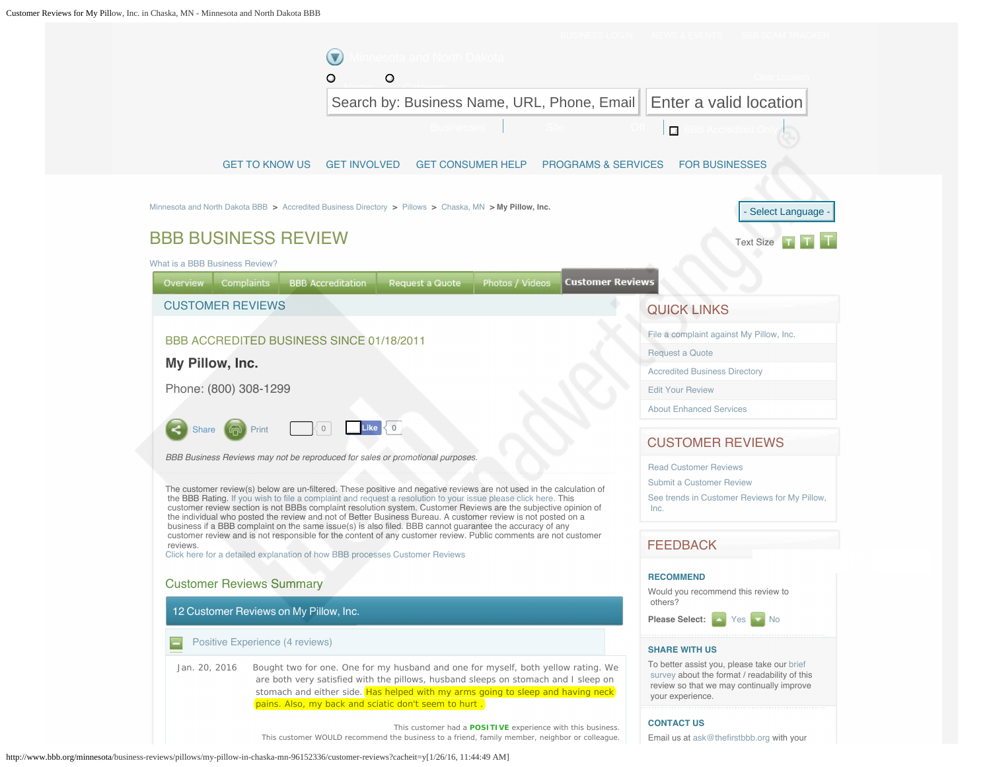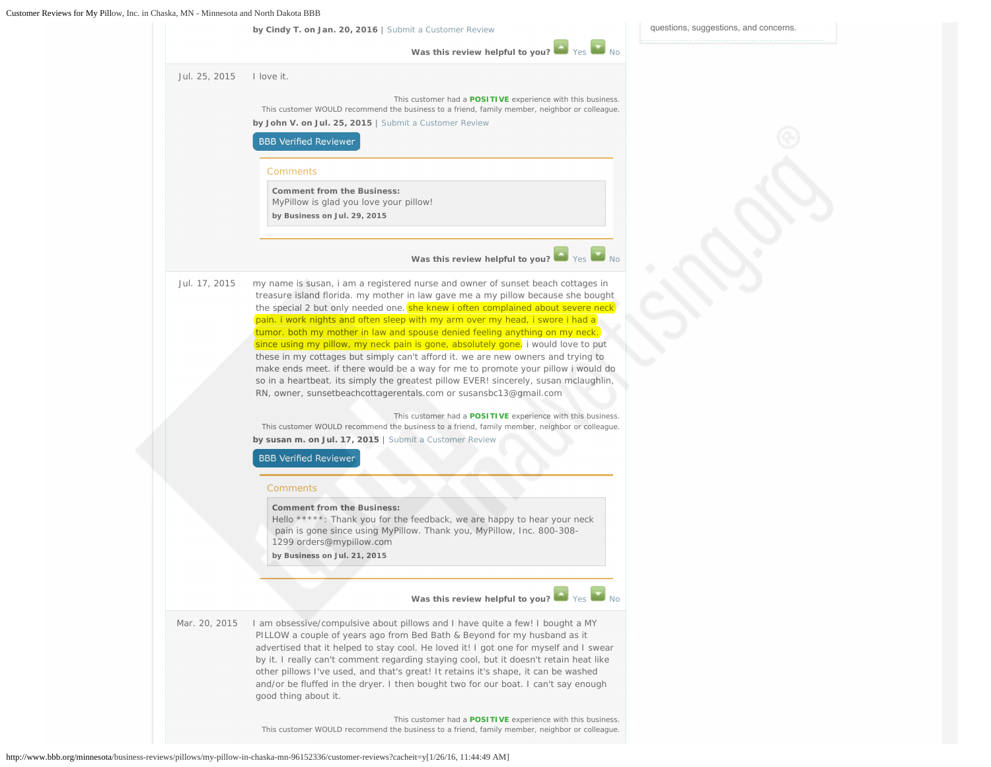